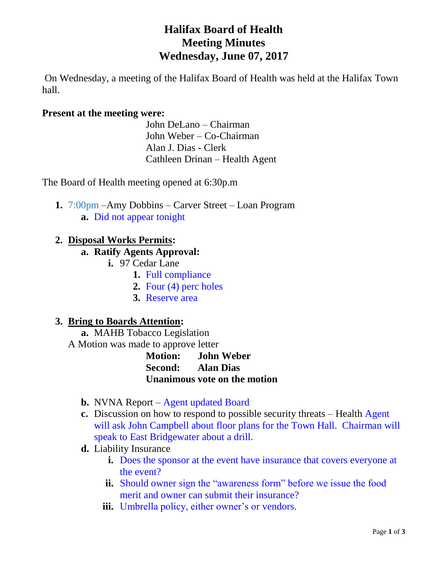# **Halifax Board of Health Meeting Minutes Wednesday, June 07, 2017**

On Wednesday, a meeting of the Halifax Board of Health was held at the Halifax Town hall.

#### **Present at the meeting were:**

John DeLano – Chairman John Weber – Co-Chairman Alan J. Dias - Clerk Cathleen Drinan – Health Agent

The Board of Health meeting opened at 6:30p.m

**1.** 7:00pm –Amy Dobbins – Carver Street – Loan Program **a.** Did not appear tonight

# **2. Disposal Works Permits:**

#### **a. Ratify Agents Approval:**

- **i.** 97 Cedar Lane
	- **1.** Full compliance
	- **2.** Four (4) perc holes
	- **3.** Reserve area

#### **3. Bring to Boards Attention:**

**a.** MAHB Tobacco Legislation

A Motion was made to approve letter

**Motion: John Weber Second: Alan Dias Unanimous vote on the motion**

- **b.** NVNA Report Agent updated Board
- **c.** Discussion on how to respond to possible security threats Health Agent will ask John Campbell about floor plans for the Town Hall. Chairman will speak to East Bridgewater about a drill.
- **d.** Liability Insurance
	- **i.** Does the sponsor at the event have insurance that covers everyone at the event?
	- **ii.** Should owner sign the "awareness form" before we issue the food merit and owner can submit their insurance?
	- **iii.** Umbrella policy, either owner's or vendors.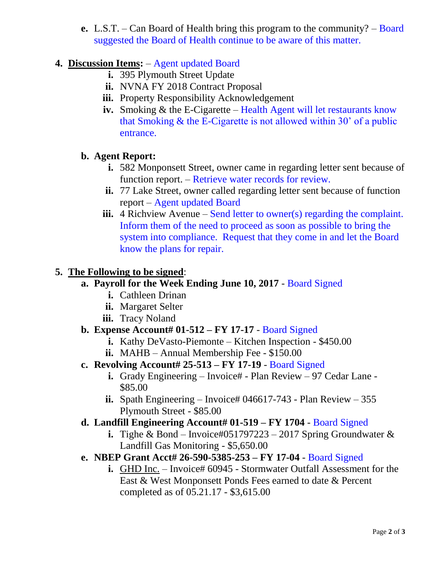**e.** L.S.T. – Can Board of Health bring this program to the community? – Board suggested the Board of Health continue to be aware of this matter.

# **4. Discussion Items:** – Agent updated Board

- **i.** 395 Plymouth Street Update
- **ii.** NVNA FY 2018 Contract Proposal
- **iii.** Property Responsibility Acknowledgement
- **iv.** Smoking & the E-Cigarette Health Agent will let restaurants know that Smoking  $&$  the E-Cigarette is not allowed within 30' of a public entrance.

# **b. Agent Report:**

- **i.** 582 Monponsett Street, owner came in regarding letter sent because of function report. – Retrieve water records for review.
- **ii.** 77 Lake Street, owner called regarding letter sent because of function report – Agent updated Board
- **iii.** 4 Richview Avenue Send letter to owner(s) regarding the complaint. Inform them of the need to proceed as soon as possible to bring the system into compliance. Request that they come in and let the Board know the plans for repair.

# **5. The Following to be signed**:

#### **a. Payroll for the Week Ending June 10, 2017** - Board Signed

- **i.** Cathleen Drinan
- **ii.** Margaret Selter
- **iii.** Tracy Noland

# **b. Expense Account# 01-512 – FY 17-17** - Board Signed

- **i.** Kathy DeVasto-Piemonte Kitchen Inspection \$450.00
- **ii.** MAHB Annual Membership Fee \$150.00
- **c. Revolving Account# 25-513 – FY 17-19** Board Signed
	- **i.** Grady Engineering Invoice# Plan Review 97 Cedar Lane -\$85.00
	- **ii.** Spath Engineering Invoice# 046617-743 Plan Review 355 Plymouth Street - \$85.00

#### **d. Landfill Engineering Account# 01-519 – FY 1704** - Board Signed

- **i.** Tighe & Bond Invoice#051797223 2017 Spring Groundwater  $\&$ Landfill Gas Monitoring - \$5,650.00
- **e. NBEP Grant Acct# 26-590-5385-253 – FY 17-04** Board Signed
	- **i.** GHD Inc. Invoice# 60945 Stormwater Outfall Assessment for the East & West Monponsett Ponds Fees earned to date & Percent completed as of 05.21.17 - \$3,615.00